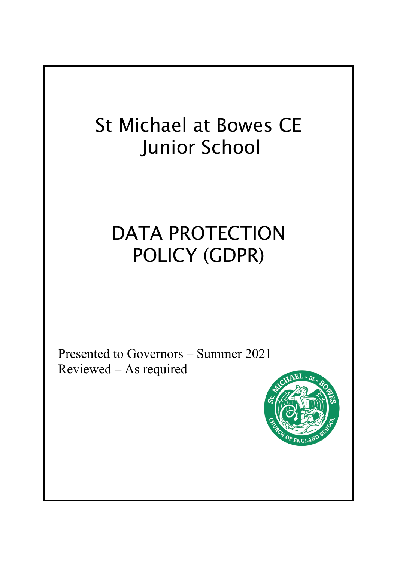## St Michael at Bowes CE Junior School

# DATA PROTECTION POLICY (GDPR)

 Presented to Governors – Summer 2021 Reviewed – As required

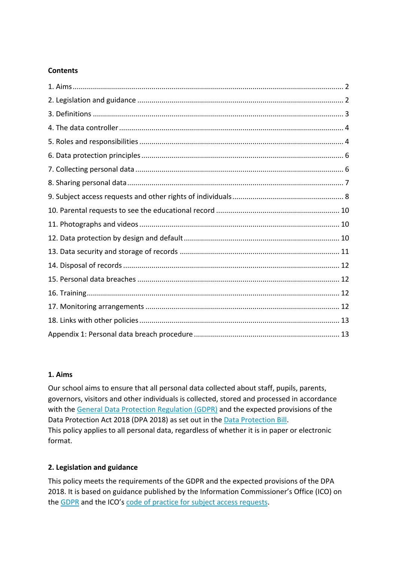### **Contents**

#### **1. Aims**

Our school aims to ensure that all personal data collected about staff, pupils, parents, governors, visitors and other individuals is collected, stored and processed in accordance with the General Data Protection Regulation (GDPR) and the expected provisions of the Data Protection Act 2018 (DPA 2018) as set out in the Data Protection Bill. This policy applies to all personal data, regardless of whether it is in paper or electronic format.

#### **2. Legislation and guidance**

This policy meets the requirements of the GDPR and the expected provisions of the DPA 2018. It is based on guidance published by the Information Commissioner's Office (ICO) on the GDPR and the ICO's code of practice for subject access requests.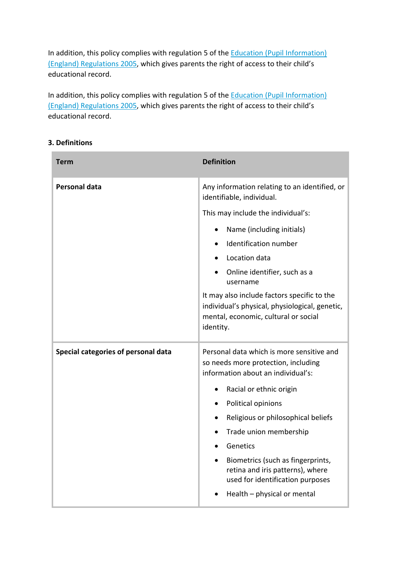In addition, this policy complies with regulation 5 of the **Education (Pupil Information)** (England) Regulations 2005, which gives parents the right of access to their child's educational record.

In addition, this policy complies with regulation 5 of the **Education (Pupil Information)** (England) Regulations 2005, which gives parents the right of access to their child's educational record.

| <b>3. Definitions</b> |  |
|-----------------------|--|
|-----------------------|--|

| <b>Term</b>                         | <b>Definition</b>                                                                                                                                                                                                                                                                                                                                                                                                         |
|-------------------------------------|---------------------------------------------------------------------------------------------------------------------------------------------------------------------------------------------------------------------------------------------------------------------------------------------------------------------------------------------------------------------------------------------------------------------------|
| <b>Personal data</b>                | Any information relating to an identified, or<br>identifiable, individual.                                                                                                                                                                                                                                                                                                                                                |
|                                     | This may include the individual's:                                                                                                                                                                                                                                                                                                                                                                                        |
|                                     | Name (including initials)                                                                                                                                                                                                                                                                                                                                                                                                 |
|                                     | Identification number<br>$\bullet$                                                                                                                                                                                                                                                                                                                                                                                        |
|                                     | Location data                                                                                                                                                                                                                                                                                                                                                                                                             |
|                                     | Online identifier, such as a<br>username                                                                                                                                                                                                                                                                                                                                                                                  |
|                                     | It may also include factors specific to the<br>individual's physical, physiological, genetic,<br>mental, economic, cultural or social<br>identity.                                                                                                                                                                                                                                                                        |
| Special categories of personal data | Personal data which is more sensitive and<br>so needs more protection, including<br>information about an individual's:<br>Racial or ethnic origin<br>Political opinions<br>$\bullet$<br>Religious or philosophical beliefs<br>$\bullet$<br>Trade union membership<br>Genetics<br>Biometrics (such as fingerprints,<br>retina and iris patterns), where<br>used for identification purposes<br>Health - physical or mental |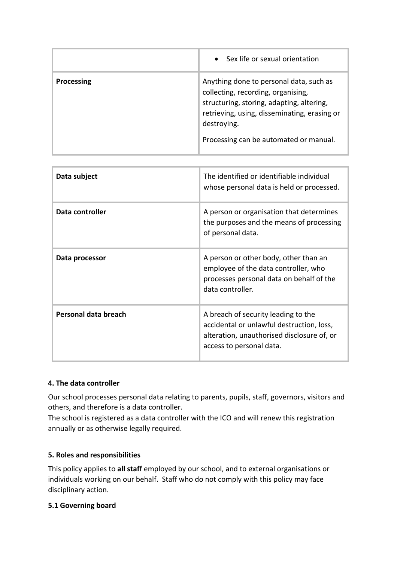|                   | • Sex life or sexual orientation                                                                                                                                                                                                    |
|-------------------|-------------------------------------------------------------------------------------------------------------------------------------------------------------------------------------------------------------------------------------|
| <b>Processing</b> | Anything done to personal data, such as<br>collecting, recording, organising,<br>structuring, storing, adapting, altering,<br>retrieving, using, disseminating, erasing or<br>destroying.<br>Processing can be automated or manual. |

| Data subject         | The identified or identifiable individual<br>whose personal data is held or processed.                                                                     |
|----------------------|------------------------------------------------------------------------------------------------------------------------------------------------------------|
| Data controller      | A person or organisation that determines<br>the purposes and the means of processing<br>of personal data.                                                  |
| Data processor       | A person or other body, other than an<br>employee of the data controller, who<br>processes personal data on behalf of the<br>data controller.              |
| Personal data breach | A breach of security leading to the<br>accidental or unlawful destruction, loss,<br>alteration, unauthorised disclosure of, or<br>access to personal data. |

#### **4. The data controller**

Our school processes personal data relating to parents, pupils, staff, governors, visitors and others, and therefore is a data controller.

The school is registered as a data controller with the ICO and will renew this registration annually or as otherwise legally required.

#### **5. Roles and responsibilities**

This policy applies to **all staff** employed by our school, and to external organisations or individuals working on our behalf. Staff who do not comply with this policy may face disciplinary action.

#### **5.1 Governing board**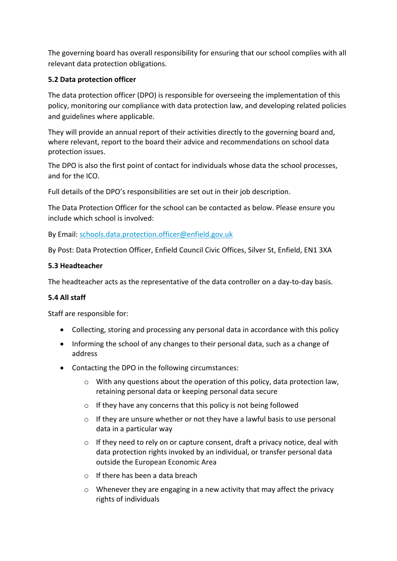The governing board has overall responsibility for ensuring that our school complies with all relevant data protection obligations.

### **5.2 Data protection officer**

The data protection officer (DPO) is responsible for overseeing the implementation of this policy, monitoring our compliance with data protection law, and developing related policies and guidelines where applicable.

They will provide an annual report of their activities directly to the governing board and, where relevant, report to the board their advice and recommendations on school data protection issues.

The DPO is also the first point of contact for individuals whose data the school processes, and for the ICO.

Full details of the DPO's responsibilities are set out in their job description.

The Data Protection Officer for the school can be contacted as below. Please ensure you include which school is involved:

By Email: schools.data.protection.officer@enfield.gov.uk

By Post: Data Protection Officer, Enfield Council Civic Offices, Silver St, Enfield, EN1 3XA

#### **5.3 Headteacher**

The headteacher acts as the representative of the data controller on a day-to-day basis.

## **5.4 All staff**

Staff are responsible for:

- Collecting, storing and processing any personal data in accordance with this policy
- Informing the school of any changes to their personal data, such as a change of address
- Contacting the DPO in the following circumstances:
	- $\circ$  With any questions about the operation of this policy, data protection law, retaining personal data or keeping personal data secure
	- o If they have any concerns that this policy is not being followed
	- $\circ$  If they are unsure whether or not they have a lawful basis to use personal data in a particular way
	- $\circ$  If they need to rely on or capture consent, draft a privacy notice, deal with data protection rights invoked by an individual, or transfer personal data outside the European Economic Area
	- o If there has been a data breach
	- $\circ$  Whenever they are engaging in a new activity that may affect the privacy rights of individuals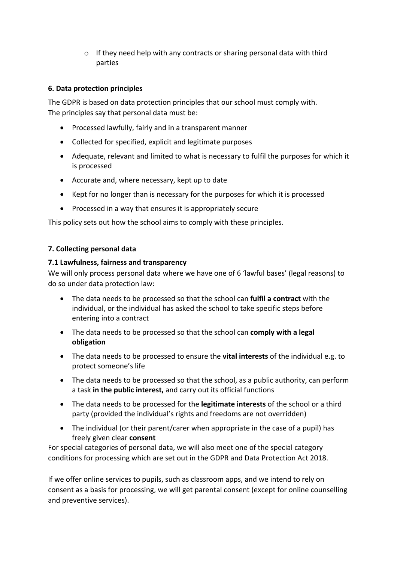o If they need help with any contracts or sharing personal data with third parties

## **6. Data protection principles**

The GDPR is based on data protection principles that our school must comply with. The principles say that personal data must be:

- Processed lawfully, fairly and in a transparent manner
- Collected for specified, explicit and legitimate purposes
- Adequate, relevant and limited to what is necessary to fulfil the purposes for which it is processed
- Accurate and, where necessary, kept up to date
- Kept for no longer than is necessary for the purposes for which it is processed
- Processed in a way that ensures it is appropriately secure

This policy sets out how the school aims to comply with these principles.

#### **7. Collecting personal data**

#### **7.1 Lawfulness, fairness and transparency**

We will only process personal data where we have one of 6 'lawful bases' (legal reasons) to do so under data protection law:

- The data needs to be processed so that the school can **fulfil a contract** with the individual, or the individual has asked the school to take specific steps before entering into a contract
- The data needs to be processed so that the school can **comply with a legal obligation**
- The data needs to be processed to ensure the **vital interests** of the individual e.g. to protect someone's life
- The data needs to be processed so that the school, as a public authority, can perform a task **in the public interest,** and carry out its official functions
- The data needs to be processed for the **legitimate interests** of the school or a third party (provided the individual's rights and freedoms are not overridden)
- The individual (or their parent/carer when appropriate in the case of a pupil) has freely given clear **consent**

For special categories of personal data, we will also meet one of the special category conditions for processing which are set out in the GDPR and Data Protection Act 2018.

If we offer online services to pupils, such as classroom apps, and we intend to rely on consent as a basis for processing, we will get parental consent (except for online counselling and preventive services).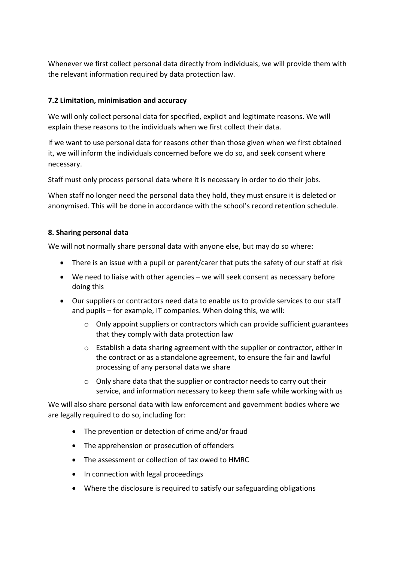Whenever we first collect personal data directly from individuals, we will provide them with the relevant information required by data protection law.

### **7.2 Limitation, minimisation and accuracy**

We will only collect personal data for specified, explicit and legitimate reasons. We will explain these reasons to the individuals when we first collect their data.

If we want to use personal data for reasons other than those given when we first obtained it, we will inform the individuals concerned before we do so, and seek consent where necessary.

Staff must only process personal data where it is necessary in order to do their jobs.

When staff no longer need the personal data they hold, they must ensure it is deleted or anonymised. This will be done in accordance with the school's record retention schedule.

#### **8. Sharing personal data**

We will not normally share personal data with anyone else, but may do so where:

- There is an issue with a pupil or parent/carer that puts the safety of our staff at risk
- We need to liaise with other agencies we will seek consent as necessary before doing this
- Our suppliers or contractors need data to enable us to provide services to our staff and pupils – for example, IT companies. When doing this, we will:
	- o Only appoint suppliers or contractors which can provide sufficient guarantees that they comply with data protection law
	- $\circ$  Establish a data sharing agreement with the supplier or contractor, either in the contract or as a standalone agreement, to ensure the fair and lawful processing of any personal data we share
	- o Only share data that the supplier or contractor needs to carry out their service, and information necessary to keep them safe while working with us

We will also share personal data with law enforcement and government bodies where we are legally required to do so, including for:

- The prevention or detection of crime and/or fraud
- The apprehension or prosecution of offenders
- The assessment or collection of tax owed to HMRC
- In connection with legal proceedings
- Where the disclosure is required to satisfy our safeguarding obligations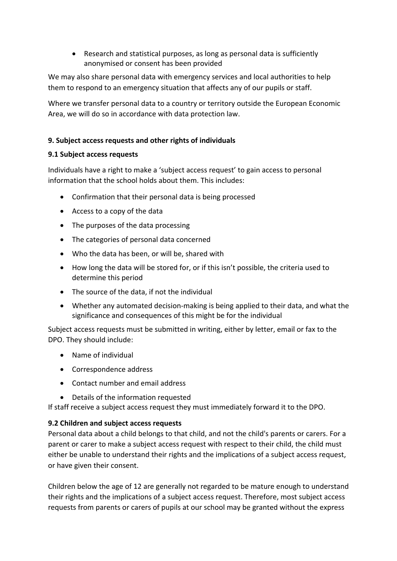• Research and statistical purposes, as long as personal data is sufficiently anonymised or consent has been provided

We may also share personal data with emergency services and local authorities to help them to respond to an emergency situation that affects any of our pupils or staff.

Where we transfer personal data to a country or territory outside the European Economic Area, we will do so in accordance with data protection law.

## **9. Subject access requests and other rights of individuals**

## **9.1 Subject access requests**

Individuals have a right to make a 'subject access request' to gain access to personal information that the school holds about them. This includes:

- Confirmation that their personal data is being processed
- Access to a copy of the data
- The purposes of the data processing
- The categories of personal data concerned
- Who the data has been, or will be, shared with
- How long the data will be stored for, or if this isn't possible, the criteria used to determine this period
- The source of the data, if not the individual
- Whether any automated decision-making is being applied to their data, and what the significance and consequences of this might be for the individual

Subject access requests must be submitted in writing, either by letter, email or fax to the DPO. They should include:

- Name of individual
- Correspondence address
- Contact number and email address
- Details of the information requested

If staff receive a subject access request they must immediately forward it to the DPO.

#### **9.2 Children and subject access requests**

Personal data about a child belongs to that child, and not the child's parents or carers. For a parent or carer to make a subject access request with respect to their child, the child must either be unable to understand their rights and the implications of a subject access request, or have given their consent.

Children below the age of 12 are generally not regarded to be mature enough to understand their rights and the implications of a subject access request. Therefore, most subject access requests from parents or carers of pupils at our school may be granted without the express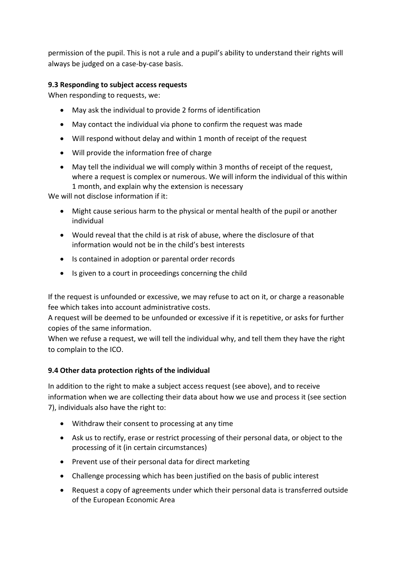permission of the pupil. This is not a rule and a pupil's ability to understand their rights will always be judged on a case-by-case basis.

## **9.3 Responding to subject access requests**

When responding to requests, we:

- May ask the individual to provide 2 forms of identification
- May contact the individual via phone to confirm the request was made
- Will respond without delay and within 1 month of receipt of the request
- Will provide the information free of charge
- May tell the individual we will comply within 3 months of receipt of the request, where a request is complex or numerous. We will inform the individual of this within 1 month, and explain why the extension is necessary

We will not disclose information if it:

- Might cause serious harm to the physical or mental health of the pupil or another individual
- Would reveal that the child is at risk of abuse, where the disclosure of that information would not be in the child's best interests
- Is contained in adoption or parental order records
- Is given to a court in proceedings concerning the child

If the request is unfounded or excessive, we may refuse to act on it, or charge a reasonable fee which takes into account administrative costs.

A request will be deemed to be unfounded or excessive if it is repetitive, or asks for further copies of the same information.

When we refuse a request, we will tell the individual why, and tell them they have the right to complain to the ICO.

#### **9.4 Other data protection rights of the individual**

In addition to the right to make a subject access request (see above), and to receive information when we are collecting their data about how we use and process it (see section 7), individuals also have the right to:

- Withdraw their consent to processing at any time
- Ask us to rectify, erase or restrict processing of their personal data, or object to the processing of it (in certain circumstances)
- Prevent use of their personal data for direct marketing
- Challenge processing which has been justified on the basis of public interest
- Request a copy of agreements under which their personal data is transferred outside of the European Economic Area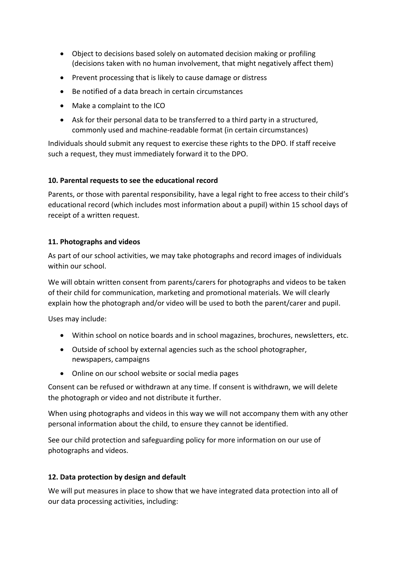- Object to decisions based solely on automated decision making or profiling (decisions taken with no human involvement, that might negatively affect them)
- Prevent processing that is likely to cause damage or distress
- Be notified of a data breach in certain circumstances
- Make a complaint to the ICO
- Ask for their personal data to be transferred to a third party in a structured, commonly used and machine-readable format (in certain circumstances)

Individuals should submit any request to exercise these rights to the DPO. If staff receive such a request, they must immediately forward it to the DPO.

#### **10. Parental requests to see the educational record**

Parents, or those with parental responsibility, have a legal right to free access to their child's educational record (which includes most information about a pupil) within 15 school days of receipt of a written request.

#### **11. Photographs and videos**

As part of our school activities, we may take photographs and record images of individuals within our school.

We will obtain written consent from parents/carers for photographs and videos to be taken of their child for communication, marketing and promotional materials. We will clearly explain how the photograph and/or video will be used to both the parent/carer and pupil.

Uses may include:

- Within school on notice boards and in school magazines, brochures, newsletters, etc.
- Outside of school by external agencies such as the school photographer, newspapers, campaigns
- Online on our school website or social media pages

Consent can be refused or withdrawn at any time. If consent is withdrawn, we will delete the photograph or video and not distribute it further.

When using photographs and videos in this way we will not accompany them with any other personal information about the child, to ensure they cannot be identified.

See our child protection and safeguarding policy for more information on our use of photographs and videos.

#### **12. Data protection by design and default**

We will put measures in place to show that we have integrated data protection into all of our data processing activities, including: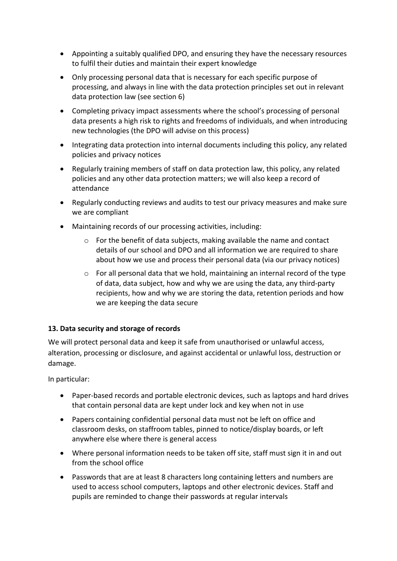- Appointing a suitably qualified DPO, and ensuring they have the necessary resources to fulfil their duties and maintain their expert knowledge
- Only processing personal data that is necessary for each specific purpose of processing, and always in line with the data protection principles set out in relevant data protection law (see section 6)
- Completing privacy impact assessments where the school's processing of personal data presents a high risk to rights and freedoms of individuals, and when introducing new technologies (the DPO will advise on this process)
- Integrating data protection into internal documents including this policy, any related policies and privacy notices
- Regularly training members of staff on data protection law, this policy, any related policies and any other data protection matters; we will also keep a record of attendance
- Regularly conducting reviews and audits to test our privacy measures and make sure we are compliant
- Maintaining records of our processing activities, including:
	- o For the benefit of data subjects, making available the name and contact details of our school and DPO and all information we are required to share about how we use and process their personal data (via our privacy notices)
	- o For all personal data that we hold, maintaining an internal record of the type of data, data subject, how and why we are using the data, any third-party recipients, how and why we are storing the data, retention periods and how we are keeping the data secure

#### **13. Data security and storage of records**

We will protect personal data and keep it safe from unauthorised or unlawful access, alteration, processing or disclosure, and against accidental or unlawful loss, destruction or damage.

In particular:

- Paper-based records and portable electronic devices, such as laptops and hard drives that contain personal data are kept under lock and key when not in use
- Papers containing confidential personal data must not be left on office and classroom desks, on staffroom tables, pinned to notice/display boards, or left anywhere else where there is general access
- Where personal information needs to be taken off site, staff must sign it in and out from the school office
- Passwords that are at least 8 characters long containing letters and numbers are used to access school computers, laptops and other electronic devices. Staff and pupils are reminded to change their passwords at regular intervals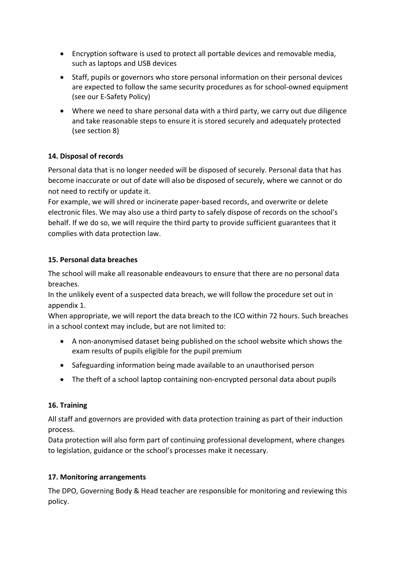- Encryption software is used to protect all portable devices and removable media, such as laptops and USB devices
- Staff, pupils or governors who store personal information on their personal devices are expected to follow the same security procedures as for school-owned equipment (see our E-Safety Policy)
- Where we need to share personal data with a third party, we carry out due diligence and take reasonable steps to ensure it is stored securely and adequately protected (see section 8)

## **14. Disposal of records**

Personal data that is no longer needed will be disposed of securely. Personal data that has become inaccurate or out of date will also be disposed of securely, where we cannot or do not need to rectify or update it.

For example, we will shred or incinerate paper-based records, and overwrite or delete electronic files. We may also use a third party to safely dispose of records on the school's behalf. If we do so, we will require the third party to provide sufficient guarantees that it complies with data protection law.

## **15. Personal data breaches**

The school will make all reasonable endeavours to ensure that there are no personal data breaches.

In the unlikely event of a suspected data breach, we will follow the procedure set out in appendix 1.

When appropriate, we will report the data breach to the ICO within 72 hours. Such breaches in a school context may include, but are not limited to:

- A non-anonymised dataset being published on the school website which shows the exam results of pupils eligible for the pupil premium
- Safeguarding information being made available to an unauthorised person
- The theft of a school laptop containing non-encrypted personal data about pupils

#### **16. Training**

All staff and governors are provided with data protection training as part of their induction process.

Data protection will also form part of continuing professional development, where changes to legislation, guidance or the school's processes make it necessary.

#### **17. Monitoring arrangements**

The DPO, Governing Body & Head teacher are responsible for monitoring and reviewing this policy.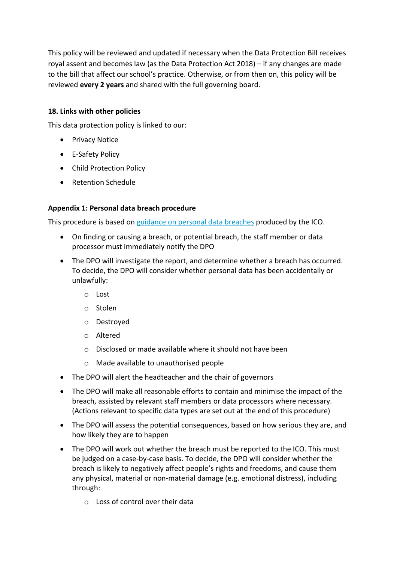This policy will be reviewed and updated if necessary when the Data Protection Bill receives royal assent and becomes law (as the Data Protection Act 2018) – if any changes are made to the bill that affect our school's practice. Otherwise, or from then on, this policy will be reviewed **every 2 years** and shared with the full governing board.

### **18. Links with other policies**

This data protection policy is linked to our:

- Privacy Notice
- E-Safety Policy
- Child Protection Policy
- Retention Schedule

#### **Appendix 1: Personal data breach procedure**

This procedure is based on guidance on personal data breaches produced by the ICO.

- On finding or causing a breach, or potential breach, the staff member or data processor must immediately notify the DPO
- The DPO will investigate the report, and determine whether a breach has occurred. To decide, the DPO will consider whether personal data has been accidentally or unlawfully:
	- o Lost
	- o Stolen
	- o Destroyed
	- o Altered
	- o Disclosed or made available where it should not have been
	- o Made available to unauthorised people
- The DPO will alert the headteacher and the chair of governors
- The DPO will make all reasonable efforts to contain and minimise the impact of the breach, assisted by relevant staff members or data processors where necessary. (Actions relevant to specific data types are set out at the end of this procedure)
- The DPO will assess the potential consequences, based on how serious they are, and how likely they are to happen
- The DPO will work out whether the breach must be reported to the ICO. This must be judged on a case-by-case basis. To decide, the DPO will consider whether the breach is likely to negatively affect people's rights and freedoms, and cause them any physical, material or non-material damage (e.g. emotional distress), including through:
	- o Loss of control over their data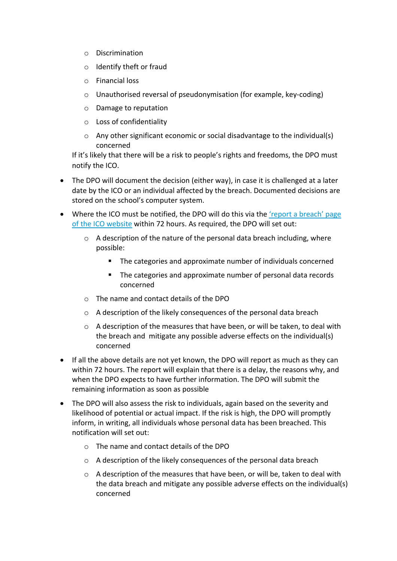- o Discrimination
- o Identify theft or fraud
- o Financial loss
- o Unauthorised reversal of pseudonymisation (for example, key-coding)
- o Damage to reputation
- o Loss of confidentiality
- $\circ$  Any other significant economic or social disadvantage to the individual(s) concerned

If it's likely that there will be a risk to people's rights and freedoms, the DPO must notify the ICO.

- The DPO will document the decision (either way), in case it is challenged at a later date by the ICO or an individual affected by the breach. Documented decisions are stored on the school's computer system.
- Where the ICO must be notified, the DPO will do this via the 'report a breach' page of the ICO website within 72 hours. As required, the DPO will set out:
	- $\circ$  A description of the nature of the personal data breach including, where possible:
		- The categories and approximate number of individuals concerned
		- The categories and approximate number of personal data records concerned
	- o The name and contact details of the DPO
	- o A description of the likely consequences of the personal data breach
	- $\circ$  A description of the measures that have been, or will be taken, to deal with the breach and mitigate any possible adverse effects on the individual(s) concerned
- If all the above details are not yet known, the DPO will report as much as they can within 72 hours. The report will explain that there is a delay, the reasons why, and when the DPO expects to have further information. The DPO will submit the remaining information as soon as possible
- The DPO will also assess the risk to individuals, again based on the severity and likelihood of potential or actual impact. If the risk is high, the DPO will promptly inform, in writing, all individuals whose personal data has been breached. This notification will set out:
	- o The name and contact details of the DPO
	- o A description of the likely consequences of the personal data breach
	- o A description of the measures that have been, or will be, taken to deal with the data breach and mitigate any possible adverse effects on the individual(s) concerned